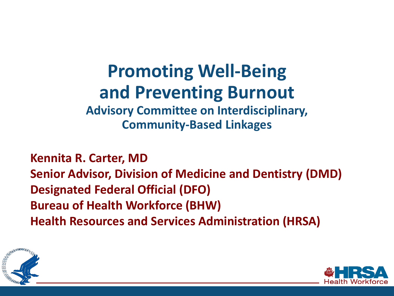# **Promoting Well-Being and Preventing Burnout**

**Advisory Committee on Interdisciplinary, Community-Based Linkages**

**Kennita R. Carter, MD Senior Advisor, Division of Medicine and Dentistry (DMD) Designated Federal Official (DFO) Bureau of Health Workforce (BHW) Health Resources and Services Administration (HRSA)**



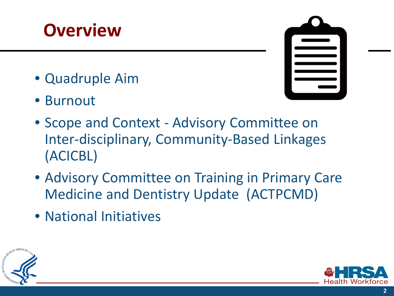### **Overview**

- Quadruple Aim
- Burnout



- Scope and Context Advisory Committee on Inter-disciplinary, Community-Based Linkages (ACICBL)
- Advisory Committee on Training in Primary Care Medicine and Dentistry Update (ACTPCMD)
- National Initiatives



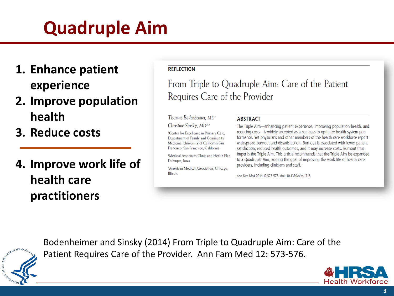# **Quadruple Aim**

- **1. Enhance patient experience**
- **2. Improve population health**
- **3. Reduce costs**
- **4. Improve work life of health care practitioners**

#### **REFLECTION**

From Triple to Quadruple Aim: Care of the Patient Requires Care of the Provider

Thomas Bodenheimer, MD<sup>®</sup> Christine Sinsky, MD<sup>2,3</sup>

<sup>1</sup>Center for Excellence in Primary Care, Department of Family and Community Medicine, University of California San Francisco, San Francisco, California

<sup>2</sup>Medical Associates Clinic and Health Plan. Dubuque, Iowa

<sup>3</sup>American Medical Association, Chicago, **Illinois** 

#### **ABSTRACT**

The Triple Aim-enhancing patient experience, improving population health, and reducing costs-is widely accepted as a compass to optimize health system performance. Yet physicians and other members of the health care workforce report widespread burnout and dissatisfaction. Burnout is associated with lower patient satisfaction, reduced health outcomes, and it may increase costs. Burnout thus imperils the Triple Aim. This article recommends that the Triple Aim be expanded to a Quadruple Aim, adding the goal of improving the work life of health care providers, including clinicians and staff.

Ann Fam Med 2014;12:573-576. doi: 10.1370/afm.1713.

Bodenheimer and Sinsky (2014) From Triple to Quadruple Aim: Care of the Patient Requires Care of the Provider. Ann Fam Med 12: 573-576.

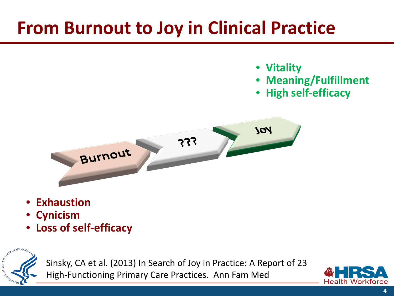## **From Burnout to Joy in Clinical Practice**

- **Vitality**
- **Meaning/Fulfillment**
- **High self-efficacy**



- **Exhaustion**
- **Cynicism**
- **Loss of self-efficacy**



Sinsky, CA et al. (2013) In Search of Joy in Practice: A Report of 23 High-Functioning Primary Care Practices. Ann Fam Med

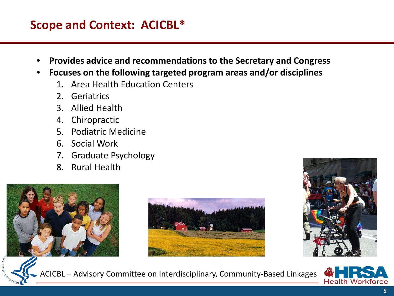#### **Scope and Context: ACICBL\***

- **Provides advice and recommendations to the Secretary and Congress**
- **Focuses on the following targeted program areas and/or disciplines**
	- 1. Area Health Education Centers
	- 2. Geriatrics
	- 3. Allied Health
	- 4. Chiropractic
	- 5. Podiatric Medicine
	- 6. Social Work
	- 7. Graduate Psychology
	- 8. Rural Health







ACICBL – Advisory Committee on Interdisciplinary, Community-Based Linkages

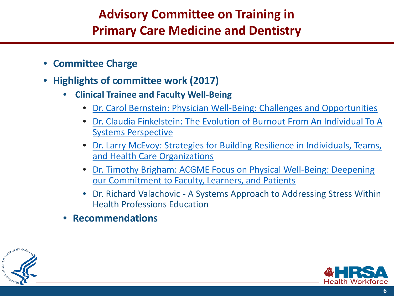### **Advisory Committee on Training in Primary Care Medicine and Dentistry**

- **Committee Charge**
- **Highlights of committee work (2017)**
	- **Clinical Trainee and Faculty Well-Being**
		- [Dr. Carol Bernstein: Physician Well-Being: Challenges and Opportunities](https://www.hrsa.gov/sites/default/files/hrsa/advisory-committees/primarycare-dentist/meetings/20170306-bernstein.pdf)
		- [Dr. Claudia Finkelstein: The Evolution of Burnout From An Individual To A](https://www.hrsa.gov/sites/default/files/hrsa/advisory-committees/primarycare-dentist/meetings/20170306-finkelstein.pdf)  Systems Perspective
		- [Dr. Larry McEvoy: Strategies for Building Resilience in Individuals, Teams,](https://www.hrsa.gov/sites/default/files/hrsa/advisory-committees/primarycare-dentist/meetings/20170306-mcevoy.pdf)  and Health Care Organizations
		- [Dr. Timothy Brigham: ACGME Focus on Physical Well-Being: Deepening](https://www.hrsa.gov/sites/default/files/hrsa/advisory-committees/primarycare-dentist/meetings/20170306-brigham.pdf)  our Commitment to Faculty, Learners, and Patients
		- Dr. Richard Valachovic A Systems Approach to Addressing Stress Within Health Professions Education
	- **Recommendations**



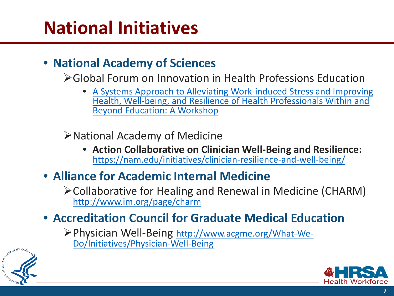## **National Initiatives**

#### • **National Academy of Sciences**

- Global Forum on Innovation in Health Professions Education
	- A Systems Approach to Alleviating Work-induced Stress and Improving [Health, Well-being, and Resilience of Health Professionals Within and](http://www.nationalacademies.org/hmd/Activities/Global/InnovationHealthProfEducation/2018-APR-26.aspx)  Beyond Education: A Workshop

National Academy of Medicine

- **Action Collaborative on Clinician Well-Being and Resilience:**  <https://nam.edu/initiatives/clinician-resilience-and-well-being/>
- **Alliance for Academic Internal Medicine**
	- Collaborative for Healing and Renewal in Medicine (CHARM) <http://www.im.org/page/charm>
- **Accreditation Council for Graduate Medical Education** 
	- [Physician Well-Being http://www.acgme.org/What-We-](http://www.acgme.org/What-We-Do/Initiatives/Physician-Well-Being)Do/Initiatives/Physician-Well-Being